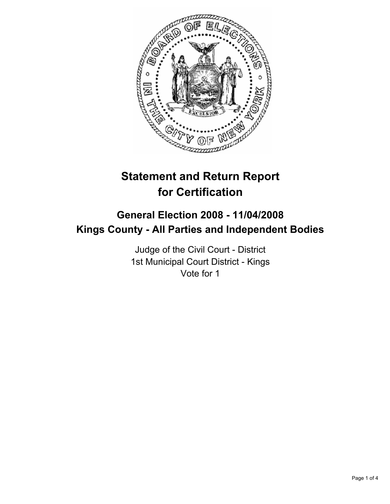

# **Statement and Return Report for Certification**

## **General Election 2008 - 11/04/2008 Kings County - All Parties and Independent Bodies**

Judge of the Civil Court - District 1st Municipal Court District - Kings Vote for 1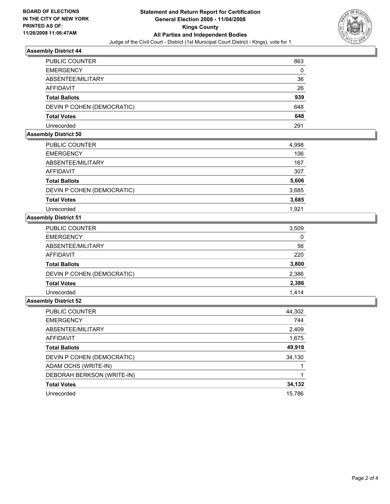

#### **Assembly District 44**

| <b>PUBLIC COUNTER</b>      | 863 |
|----------------------------|-----|
| <b>EMERGENCY</b>           | 0   |
| ABSENTEE/MILITARY          | 36  |
| <b>AFFIDAVIT</b>           | 26  |
| <b>Total Ballots</b>       | 939 |
| DEVIN P COHEN (DEMOCRATIC) | 648 |
| <b>Total Votes</b>         | 648 |
| Unrecorded                 | 291 |

#### **Assembly District 50**

| PUBLIC COUNTER             | 4,998 |
|----------------------------|-------|
| <b>EMERGENCY</b>           | 106   |
| ABSENTEE/MILITARY          | 167   |
| <b>AFFIDAVIT</b>           | 307   |
| <b>Total Ballots</b>       | 5,606 |
| DEVIN P COHEN (DEMOCRATIC) | 3,685 |
| <b>Total Votes</b>         | 3,685 |
| Unrecorded                 | 1.921 |

#### **Assembly District 51**

| PUBLIC COUNTER             | 3,509 |
|----------------------------|-------|
| <b>EMERGENCY</b>           | 0     |
| ABSENTEE/MILITARY          | 56    |
| AFFIDAVIT                  | 220   |
| <b>Total Ballots</b>       | 3,800 |
| DEVIN P COHEN (DEMOCRATIC) | 2,386 |
| <b>Total Votes</b>         | 2,386 |
| Unrecorded                 | 1.414 |

### **Assembly District 52**

| PUBLIC COUNTER             | 44,302 |
|----------------------------|--------|
| <b>EMERGENCY</b>           | 744    |
| ABSENTEE/MILITARY          | 2,409  |
| AFFIDAVIT                  | 1,675  |
| <b>Total Ballots</b>       | 49,918 |
| DEVIN P COHEN (DEMOCRATIC) | 34,130 |
| ADAM OCHS (WRITE-IN)       |        |
| DEBORAH BERKSON (WRITE-IN) |        |
| <b>Total Votes</b>         | 34,132 |
| Unrecorded                 | 15,786 |
|                            |        |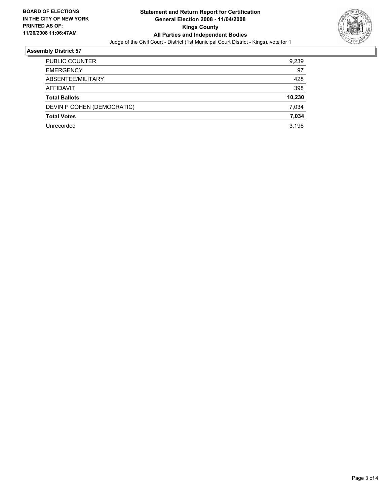

#### **Assembly District 57**

| PUBLIC COUNTER             | 9,239  |
|----------------------------|--------|
| <b>EMERGENCY</b>           | 97     |
| ABSENTEE/MILITARY          | 428    |
| <b>AFFIDAVIT</b>           | 398    |
| <b>Total Ballots</b>       | 10,230 |
| DEVIN P COHEN (DEMOCRATIC) | 7,034  |
| <b>Total Votes</b>         | 7,034  |
| Unrecorded                 | 3,196  |
|                            |        |